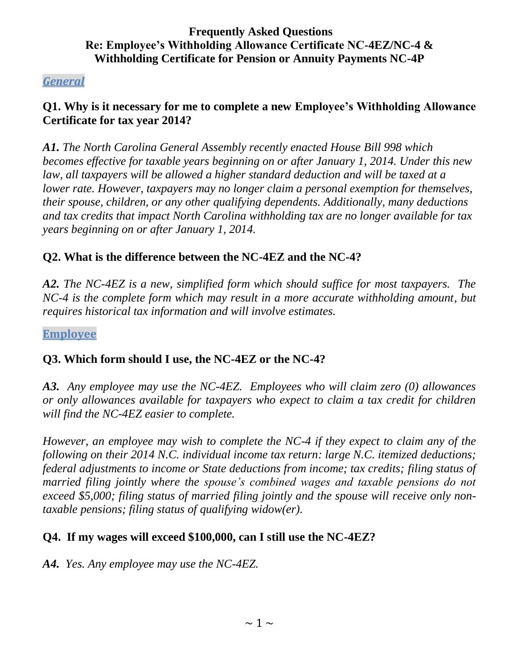### *General*

## **Q1. Why is it necessary for me to complete a new Employee's Withholding Allowance Certificate for tax year 2014?**

*A1. The North Carolina General Assembly recently enacted House Bill 998 which becomes effective for taxable years beginning on or after January 1, 2014. Under this new law, all taxpayers will be allowed a higher standard deduction and will be taxed at a lower rate. However, taxpayers may no longer claim a personal exemption for themselves, their spouse, children, or any other qualifying dependents. Additionally, many deductions and tax credits that impact North Carolina withholding tax are no longer available for tax years beginning on or after January 1, 2014.*

### **Q2. What is the difference between the NC-4EZ and the NC-4?**

*A2. The NC-4EZ is a new, simplified form which should suffice for most taxpayers. The NC-4 is the complete form which may result in a more accurate withholding amount, but requires historical tax information and will involve estimates.*

**Employee**

#### **Q3. Which form should I use, the NC-4EZ or the NC-4?**

*A3. Any employee may use the NC-4EZ. Employees who will claim zero (0) allowances or only allowances available for taxpayers who expect to claim a tax credit for children will find the NC-4EZ easier to complete.*

*However, an employee may wish to complete the NC-4 if they expect to claim any of the following on their 2014 N.C. individual income tax return: large N.C. itemized deductions; federal adjustments to income or State deductions from income; tax credits; filing status of married filing jointly where the spouse's combined wages and taxable pensions do not exceed \$5,000; filing status of married filing jointly and the spouse will receive only nontaxable pensions; filing status of qualifying widow(er).*

#### **Q4. If my wages will exceed \$100,000, can I still use the NC-4EZ?**

*A4. Yes. Any employee may use the NC-4EZ.*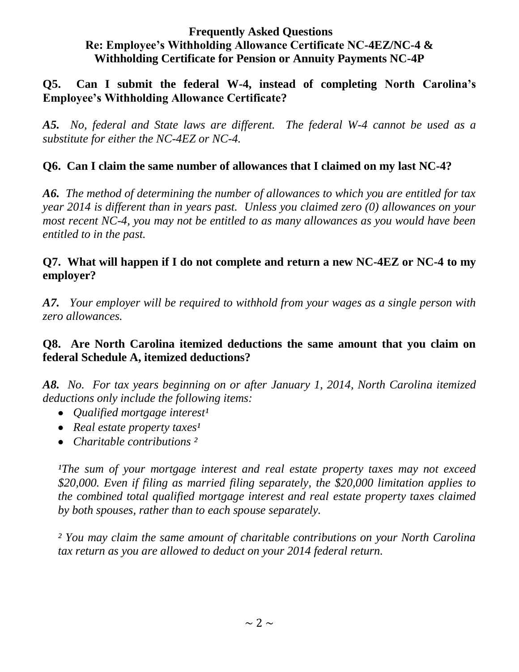## **Q5. Can I submit the federal W-4, instead of completing North Carolina's Employee's Withholding Allowance Certificate?**

*A5. No, federal and State laws are different. The federal W-4 cannot be used as a substitute for either the NC-4EZ or NC-4.*

## **Q6. Can I claim the same number of allowances that I claimed on my last NC-4?**

*A6. The method of determining the number of allowances to which you are entitled for tax year 2014 is different than in years past. Unless you claimed zero (0) allowances on your most recent NC-4, you may not be entitled to as many allowances as you would have been entitled to in the past.*

## **Q7. What will happen if I do not complete and return a new NC-4EZ or NC-4 to my employer?**

*A7. Your employer will be required to withhold from your wages as a single person with zero allowances.* 

### **Q8. Are North Carolina itemized deductions the same amount that you claim on federal Schedule A, itemized deductions?**

*A8. No. For tax years beginning on or after January 1, 2014, North Carolina itemized deductions only include the following items:*

- Qualified mortgage interest<sup>1</sup>
- *Real estate property taxes<sup>1</sup>*
- *Charitable contributions ²*

*IThe sum of your mortgage interest and real estate property taxes may not exceed \$20,000. Even if filing as married filing separately, the \$20,000 limitation applies to the combined total qualified mortgage interest and real estate property taxes claimed by both spouses, rather than to each spouse separately.*

*² You may claim the same amount of charitable contributions on your North Carolina tax return as you are allowed to deduct on your 2014 federal return.*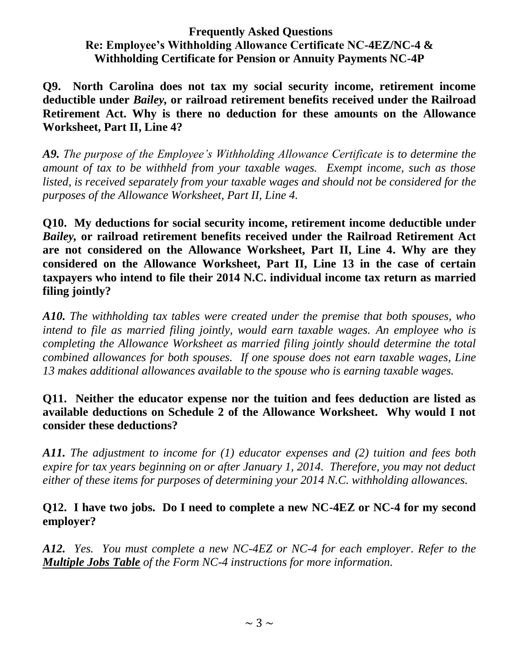**Q9. North Carolina does not tax my social security income, retirement income deductible under** *Bailey,* **or railroad retirement benefits received under the Railroad Retirement Act. Why is there no deduction for these amounts on the Allowance Worksheet, Part II, Line 4?**

*A9. The purpose of the Employee's Withholding Allowance Certificate is to determine the amount of tax to be withheld from your taxable wages. Exempt income, such as those listed, is received separately from your taxable wages and should not be considered for the purposes of the Allowance Worksheet, Part II, Line 4.*

**Q10. My deductions for social security income, retirement income deductible under**  *Bailey,* **or railroad retirement benefits received under the Railroad Retirement Act are not considered on the Allowance Worksheet, Part II, Line 4. Why are they considered on the Allowance Worksheet, Part II, Line 13 in the case of certain taxpayers who intend to file their 2014 N.C. individual income tax return as married filing jointly?** 

*A10. The withholding tax tables were created under the premise that both spouses, who intend to file as married filing jointly, would earn taxable wages. An employee who is completing the Allowance Worksheet as married filing jointly should determine the total combined allowances for both spouses. If one spouse does not earn taxable wages, Line 13 makes additional allowances available to the spouse who is earning taxable wages.* 

## **Q11. Neither the educator expense nor the tuition and fees deduction are listed as available deductions on Schedule 2 of the Allowance Worksheet. Why would I not consider these deductions?**

*A11. The adjustment to income for (1) educator expenses and (2) tuition and fees both expire for tax years beginning on or after January 1, 2014. Therefore, you may not deduct either of these items for purposes of determining your 2014 N.C. withholding allowances.*

### **Q12. I have two jobs. Do I need to complete a new NC-4EZ or NC-4 for my second employer?**

*A12. Yes. You must complete a new NC-4EZ or NC-4 for each employer*. *Refer to the Multiple Jobs Table of the Form NC-4 instructions for more information.*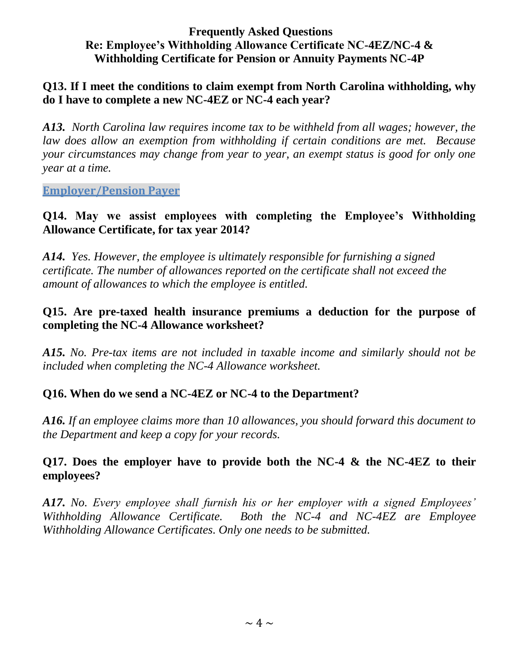#### **Q13. If I meet the conditions to claim exempt from North Carolina withholding, why do I have to complete a new NC-4EZ or NC-4 each year?**

*A13. North Carolina law requires income tax to be withheld from all wages; however, the law does allow an exemption from withholding if certain conditions are met. Because your circumstances may change from year to year, an exempt status is good for only one year at a time.*

**Employer/Pension Payer**

#### **Q14. May we assist employees with completing the Employee's Withholding Allowance Certificate, for tax year 2014?**

*A14. Yes. However, the employee is ultimately responsible for furnishing a signed certificate. The number of allowances reported on the certificate shall not exceed the amount of allowances to which the employee is entitled.*

### **Q15. Are pre-taxed health insurance premiums a deduction for the purpose of completing the NC-4 Allowance worksheet?**

*A15. No. Pre-tax items are not included in taxable income and similarly should not be included when completing the NC-4 Allowance worksheet.*

## **Q16. When do we send a NC-4EZ or NC-4 to the Department?**

*A16. If an employee claims more than 10 allowances, you should forward this document to the Department and keep a copy for your records.*

#### **Q17. Does the employer have to provide both the NC-4 & the NC-4EZ to their employees?**

*A17. No. Every employee shall furnish his or her employer with a signed Employees' Withholding Allowance Certificate. Both the NC-4 and NC-4EZ are Employee Withholding Allowance Certificates. Only one needs to be submitted.*